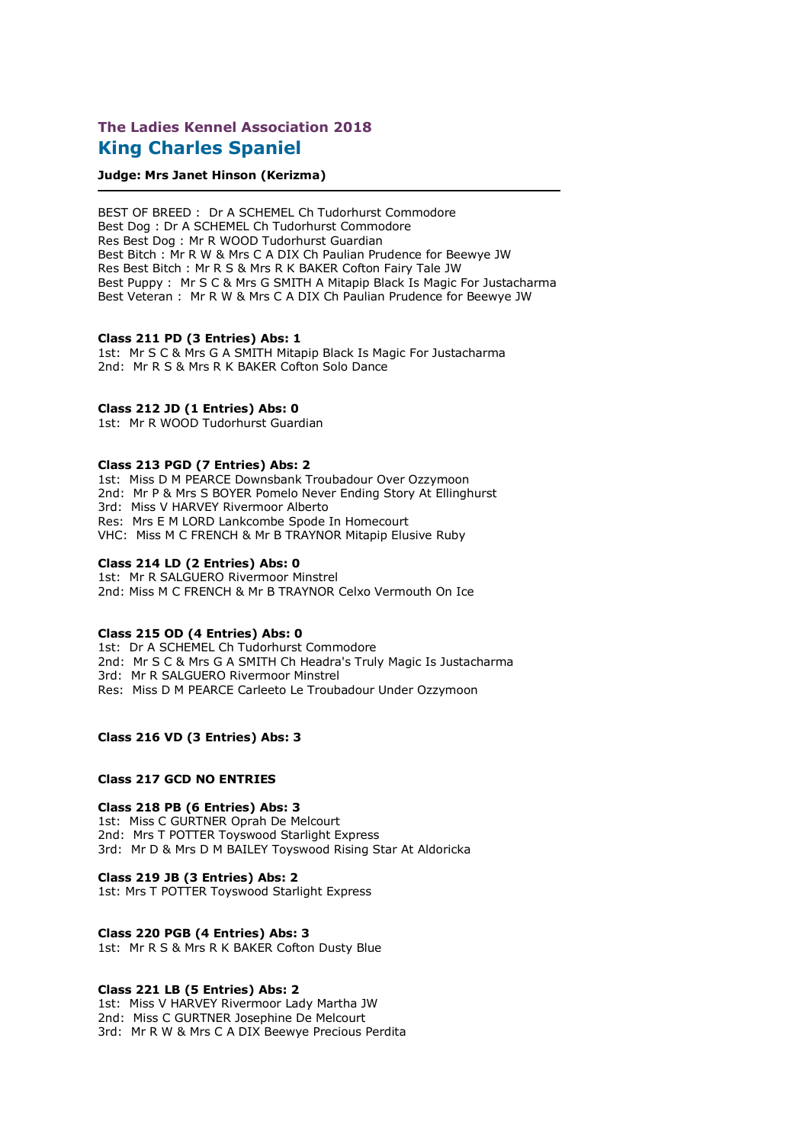# **The Ladies Kennel Association 2018 King Charles Spaniel**

#### **Judge: Mrs Janet Hinson (Kerizma)**

BEST OF BREED : Dr A SCHEMEL Ch Tudorhurst Commodore Best Dog : Dr A SCHEMEL Ch Tudorhurst Commodore Res Best Dog : Mr R WOOD Tudorhurst Guardian Best Bitch : Mr R W & Mrs C A DIX Ch Paulian Prudence for Beewye JW Res Best Bitch : Mr R S & Mrs R K BAKER Cofton Fairy Tale JW Best Puppy : Mr S C & Mrs G SMITH A Mitapip Black Is Magic For Justacharma Best Veteran : Mr R W & Mrs C A DIX Ch Paulian Prudence for Beewye JW

#### **Class 211 PD (3 Entries) Abs: 1**

1st: Mr S C & Mrs G A SMITH Mitapip Black Is Magic For Justacharma 2nd: Mr R S & Mrs R K BAKER Cofton Solo Dance

## **Class 212 JD (1 Entries) Abs: 0**

1st: Mr R WOOD Tudorhurst Guardian

#### **Class 213 PGD (7 Entries) Abs: 2**

1st: Miss D M PEARCE Downsbank Troubadour Over Ozzymoon 2nd: Mr P & Mrs S BOYER Pomelo Never Ending Story At Ellinghurst 3rd: Miss V HARVEY Rivermoor Alberto Res: Mrs E M LORD Lankcombe Spode In Homecourt VHC: Miss M C FRENCH & Mr B TRAYNOR Mitapip Elusive Ruby

#### **Class 214 LD (2 Entries) Abs: 0**

1st: Mr R SALGUERO Rivermoor Minstrel 2nd: Miss M C FRENCH & Mr B TRAYNOR Celxo Vermouth On Ice

#### **Class 215 OD (4 Entries) Abs: 0**

1st: Dr A SCHEMEL Ch Tudorhurst Commodore 2nd: Mr S C & Mrs G A SMITH Ch Headra's Truly Magic Is Justacharma 3rd: Mr R SALGUERO Rivermoor Minstrel Res: Miss D M PEARCE Carleeto Le Troubadour Under Ozzymoon

# **Class 216 VD (3 Entries) Abs: 3**

#### **Class 217 GCD NO ENTRIES**

**Class 218 PB (6 Entries) Abs: 3** 1st: Miss C GURTNER Oprah De Melcourt 2nd: Mrs T POTTER Toyswood Starlight Express 3rd: Mr D & Mrs D M BAILEY Toyswood Rising Star At Aldoricka

#### **Class 219 JB (3 Entries) Abs: 2**

1st: Mrs T POTTER Toyswood Starlight Express

#### **Class 220 PGB (4 Entries) Abs: 3**

1st: Mr R S & Mrs R K BAKER Cofton Dusty Blue

## **Class 221 LB (5 Entries) Abs: 2**

1st: Miss V HARVEY Rivermoor Lady Martha JW 2nd: Miss C GURTNER Josephine De Melcourt 3rd: Mr R W & Mrs C A DIX Beewye Precious Perdita